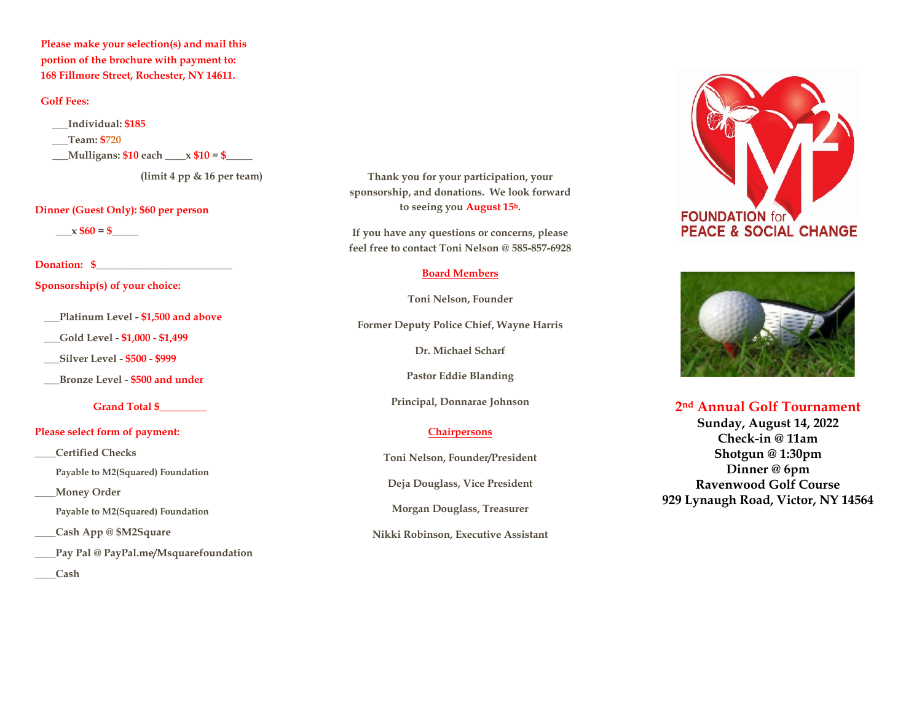**Please make your selection(s) and mail this portion of the brochure with payment to: 168 Fillmore Street, Rochester, NY 14611.** 

### **Golf Fees:**

**\_\_\_Individual: \$185 \_\_\_Team: \$720 \_\_\_Mulligans: \$10 each \_\_\_\_x \$10 = \$\_\_\_\_\_** 

**(limit 4 pp & 16 per team)** 

### **Dinner (Guest Only): \$60 per person**

 $x $60 = $$ 

#### **Donation: \$**

**Sponsorship(s) of your choice:** 

**\_\_\_Platinum Level - \$1,500 and above**

**\_\_\_Gold Level - \$1,000 - \$1,499**

**\_\_\_Silver Level - \$500 - \$999**

**\_\_\_Bronze Level - \$500 and under** 

**Grand Total \$\_\_\_\_\_\_\_\_\_** 

### **Please select form of payment:**

**\_\_\_\_Certified Checks** 

 **Payable to M2(Squared) Foundation** 

**\_\_\_\_Money Order** 

 **Payable to M2(Squared) Foundation** 

**\_\_\_\_Cash App @ \$M2Square** 

**\_\_\_\_Pay Pal @ PayPal.me/Msquarefoundation** 

**\_\_\_\_Cash** 

**Thank you for your participation, your sponsorship, and donations. We look forward to seeing you August 15h.** 

**If you have any questions or concerns, please feel free to contact Toni Nelson @ 585-857-6928**

#### **Board Members**

**Toni Nelson, Founder**

**Former Deputy Police Chief, Wayne Harris**

**Dr. Michael Scharf**

**Pastor Eddie Blanding**

**Principal, Donnarae Johnson**

### **Chairpersons**

**Toni Nelson, Founder/President**

**Deja Douglass, Vice President**

**Morgan Douglass, Treasurer**

**Nikki Robinson, Executive Assistant**





**2nd Annual Golf Tournament Sunday, August 14, 2022 Check-in @ 11am Shotgun @ 1:30pm Dinner @ 6pm Ravenwood Golf Course 929 Lynaugh Road, Victor, NY 14564**